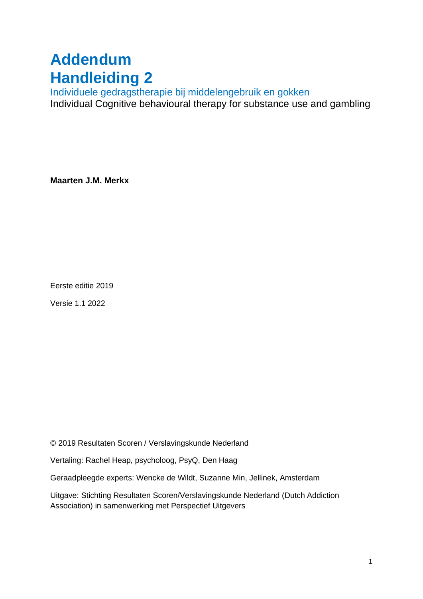# **Addendum Handleiding 2**

Individuele gedragstherapie bij middelengebruik en gokken Individual Cognitive behavioural therapy for substance use and gambling

**Maarten J.M. Merkx**

Eerste editie 2019

Versie 1.1 2022

© 2019 Resultaten Scoren / Verslavingskunde Nederland

Vertaling: Rachel Heap, psycholoog, PsyQ, Den Haag

Geraadpleegde experts: Wencke de Wildt, Suzanne Min, Jellinek, Amsterdam

Uitgave: Stichting Resultaten Scoren/Verslavingskunde Nederland (Dutch Addiction Association) in samenwerking met Perspectief Uitgevers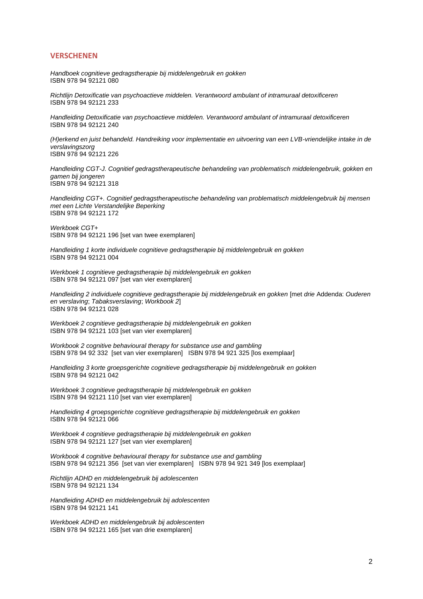#### **VERSCHENEN**

*Handboek cognitieve gedragstherapie bij middelengebruik en gokken* ISBN 978 94 92121 080

*Richtlijn Detoxificatie van psychoactieve middelen. Verantwoord ambulant of intramuraal detoxificeren*  ISBN 978 94 92121 233

*Handleiding Detoxificatie van psychoactieve middelen. Verantwoord ambulant of intramuraal detoxificeren* ISBN 978 94 92121 240

*(H)erkend en juist behandeld. Handreiking voor implementatie en uitvoering van een LVB-vriendelijke intake in de verslavingszorg* ISBN 978 94 92121 226

*Handleiding CGT-J. Cognitief gedragstherapeutische behandeling van problematisch middelengebruik, gokken en gamen bij jongeren* ISBN 978 94 92121 318

*Handleiding CGT+. Cognitief gedragstherapeutische behandeling van problematisch middelengebruik bij mensen met een Lichte Verstandelijke Beperking* ISBN 978 94 92121 172

*Werkboek CGT+* ISBN 978 94 92121 196 [set van twee exemplaren]

*Handleiding 1 korte individuele cognitieve gedragstherapie bij middelengebruik en gokken* ISBN 978 94 92121 004

*Werkboek 1 cognitieve gedragstherapie bij middelengebruik en gokken* ISBN 978 94 92121 097 [set van vier exemplaren]

*Handleiding 2 individuele cognitieve gedragstherapie bij middelengebruik en gokken* [met *drie* Addenda: *Ouderen en verslaving*; *Tabaksverslaving*; *Workbook 2*] ISBN 978 94 92121 028

*Werkboek 2 cognitieve gedragstherapie bij middelengebruik en gokken* ISBN 978 94 92121 103 [set van vier exemplaren]

*Workbook 2 cognitive behavioural therapy for substance use and gambling* ISBN 978 94 92 332 [set van vier exemplaren] ISBN 978 94 921 325 [los exemplaar]

*Handleiding 3 korte groepsgerichte cognitieve gedragstherapie bij middelengebruik en gokken* ISBN 978 94 92121 042

*Werkboek 3 cognitieve gedragstherapie bij middelengebruik en gokken* ISBN 978 94 92121 110 [set van vier exemplaren]

*Handleiding 4 groepsgerichte cognitieve gedragstherapie bij middelengebruik en gokken* ISBN 978 94 92121 066

*Werkboek 4 cognitieve gedragstherapie bij middelengebruik en gokken* ISBN 978 94 92121 127 [set van vier exemplaren]

*Workbook 4 cognitive behavioural therapy for substance use and gambling* ISBN 978 94 92121 356 [set van vier exemplaren] ISBN 978 94 921 349 [los exemplaar]

*Richtlijn ADHD en middelengebruik bij adolescenten* ISBN 978 94 92121 134

*Handleiding ADHD en middelengebruik bij adolescenten* ISBN 978 94 92121 141

*Werkboek ADHD en middelengebruik bij adolescenten* ISBN 978 94 92121 165 [set van drie exemplaren]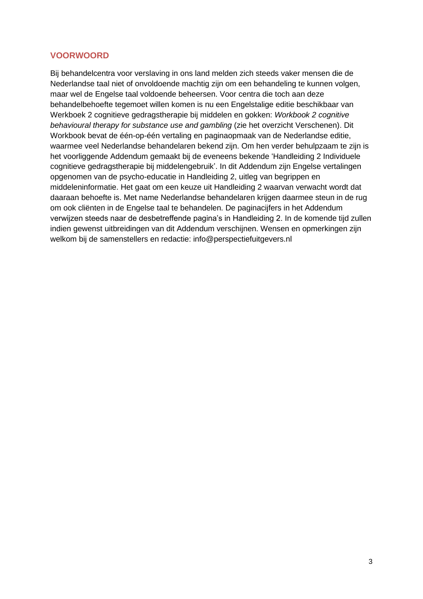# **VOORWOORD**

Bij behandelcentra voor verslaving in ons land melden zich steeds vaker mensen die de Nederlandse taal niet of onvoldoende machtig zijn om een behandeling te kunnen volgen, maar wel de Engelse taal voldoende beheersen. Voor centra die toch aan deze behandelbehoefte tegemoet willen komen is nu een Engelstalige editie beschikbaar van Werkboek 2 cognitieve gedragstherapie bij middelen en gokken: *Workbook 2 cognitive behavioural therapy for substance use and gambling* (zie het overzicht Verschenen). Dit Workbook bevat de één-op-één vertaling en paginaopmaak van de Nederlandse editie, waarmee veel Nederlandse behandelaren bekend zijn. Om hen verder behulpzaam te zijn is het voorliggende Addendum gemaakt bij de eveneens bekende 'Handleiding 2 Individuele cognitieve gedragstherapie bij middelengebruik'. In dit Addendum zijn Engelse vertalingen opgenomen van de psycho-educatie in Handleiding 2, uitleg van begrippen en middeleninformatie. Het gaat om een keuze uit Handleiding 2 waarvan verwacht wordt dat daaraan behoefte is. Met name Nederlandse behandelaren krijgen daarmee steun in de rug om ook cliënten in de Engelse taal te behandelen. De paginacijfers in het Addendum verwijzen steeds naar de desbetreffende pagina's in Handleiding 2. In de komende tijd zullen indien gewenst uitbreidingen van dit Addendum verschijnen. Wensen en opmerkingen zijn welkom bij de samenstellers en redactie: info@perspectiefuitgevers.nl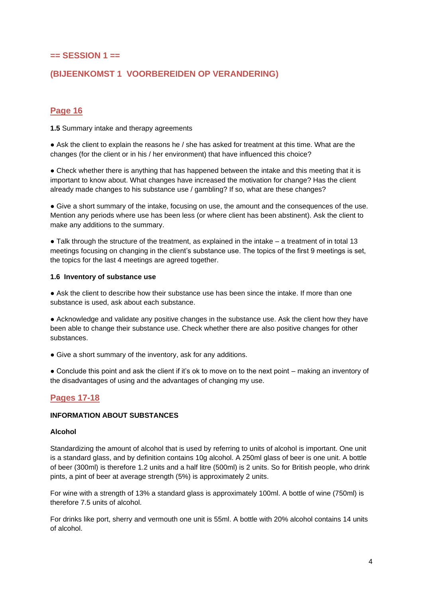# **== SESSION 1 ==**

# **(BIJEENKOMST 1 VOORBEREIDEN OP VERANDERING)**

## **Page 16**

**1.5** Summary intake and therapy agreements

• Ask the client to explain the reasons he / she has asked for treatment at this time. What are the changes (for the client or in his / her environment) that have influenced this choice?

• Check whether there is anything that has happened between the intake and this meeting that it is important to know about. What changes have increased the motivation for change? Has the client already made changes to his substance use / gambling? If so, what are these changes?

● Give a short summary of the intake, focusing on use, the amount and the consequences of the use. Mention any periods where use has been less (or where client has been abstinent). Ask the client to make any additions to the summary.

• Talk through the structure of the treatment, as explained in the intake – a treatment of in total 13 meetings focusing on changing in the client's substance use. The topics of the first 9 meetings is set, the topics for the last 4 meetings are agreed together.

#### **1.6 Inventory of substance use**

● Ask the client to describe how their substance use has been since the intake. If more than one substance is used, ask about each substance.

● Acknowledge and validate any positive changes in the substance use. Ask the client how they have been able to change their substance use. Check whether there are also positive changes for other substances.

• Give a short summary of the inventory, ask for any additions.

• Conclude this point and ask the client if it's ok to move on to the next point – making an inventory of the disadvantages of using and the advantages of changing my use.

## **Pages 17-18**

#### **INFORMATION ABOUT SUBSTANCES**

#### **Alcohol**

Standardizing the amount of alcohol that is used by referring to units of alcohol is important. One unit is a standard glass, and by definition contains 10g alcohol. A 250ml glass of beer is one unit. A bottle of beer (300ml) is therefore 1.2 units and a half litre (500ml) is 2 units. So for British people, who drink pints, a pint of beer at average strength (5%) is approximately 2 units.

For wine with a strength of 13% a standard glass is approximately 100ml. A bottle of wine (750ml) is therefore 7.5 units of alcohol.

For drinks like port, sherry and vermouth one unit is 55ml. A bottle with 20% alcohol contains 14 units of alcohol.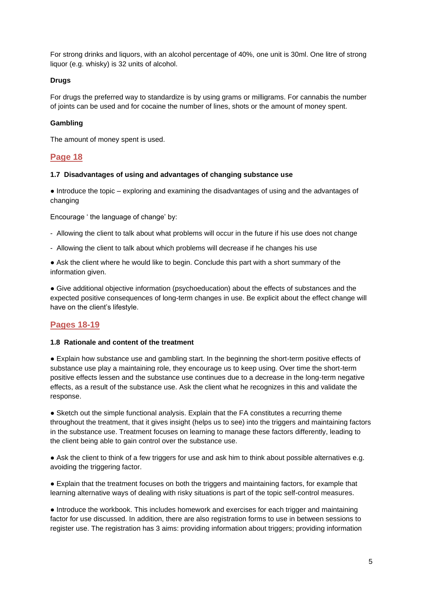For strong drinks and liquors, with an alcohol percentage of 40%, one unit is 30ml. One litre of strong liquor (e.g. whisky) is 32 units of alcohol.

#### **Drugs**

For drugs the preferred way to standardize is by using grams or milligrams. For cannabis the number of joints can be used and for cocaine the number of lines, shots or the amount of money spent.

#### **Gambling**

The amount of money spent is used.

## **Page 18**

#### **1.7 Disadvantages of using and advantages of changing substance use**

● Introduce the topic – exploring and examining the disadvantages of using and the advantages of changing

Encourage ' the language of change' by:

- Allowing the client to talk about what problems will occur in the future if his use does not change
- Allowing the client to talk about which problems will decrease if he changes his use

• Ask the client where he would like to begin. Conclude this part with a short summary of the information given.

● Give additional objective information (psychoeducation) about the effects of substances and the expected positive consequences of long-term changes in use. Be explicit about the effect change will have on the client's lifestyle.

## **Pages 18-19**

#### **1.8 Rationale and content of the treatment**

● Explain how substance use and gambling start. In the beginning the short-term positive effects of substance use play a maintaining role, they encourage us to keep using. Over time the short-term positive effects lessen and the substance use continues due to a decrease in the long-term negative effects, as a result of the substance use. Ask the client what he recognizes in this and validate the response.

• Sketch out the simple functional analysis. Explain that the FA constitutes a recurring theme throughout the treatment, that it gives insight (helps us to see) into the triggers and maintaining factors in the substance use. Treatment focuses on learning to manage these factors differently, leading to the client being able to gain control over the substance use.

● Ask the client to think of a few triggers for use and ask him to think about possible alternatives e.g. avoiding the triggering factor.

● Explain that the treatment focuses on both the triggers and maintaining factors, for example that learning alternative ways of dealing with risky situations is part of the topic self-control measures.

• Introduce the workbook. This includes homework and exercises for each trigger and maintaining factor for use discussed. In addition, there are also registration forms to use in between sessions to register use. The registration has 3 aims: providing information about triggers; providing information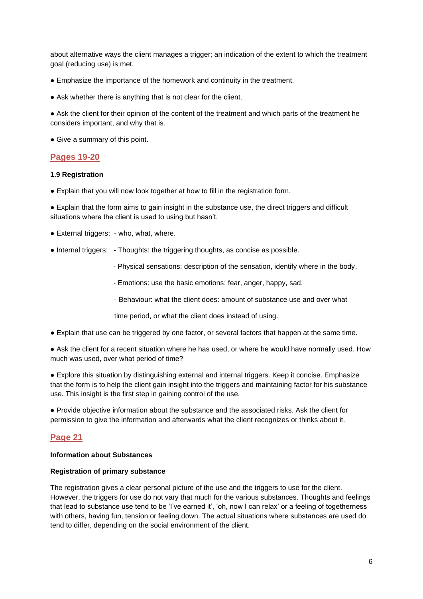about alternative ways the client manages a trigger; an indication of the extent to which the treatment goal (reducing use) is met.

- Emphasize the importance of the homework and continuity in the treatment.
- Ask whether there is anything that is not clear for the client.

• Ask the client for their opinion of the content of the treatment and which parts of the treatment he considers important, and why that is.

• Give a summary of this point.

## **Pages 19-20**

#### **1.9 Registration**

● Explain that you will now look together at how to fill in the registration form.

● Explain that the form aims to gain insight in the substance use, the direct triggers and difficult situations where the client is used to using but hasn't.

- External triggers: who, what, where.
- Internal triggers: Thoughts: the triggering thoughts, as concise as possible.
	- Physical sensations: description of the sensation, identify where in the body.
	- Emotions: use the basic emotions: fear, anger, happy, sad.
	- Behaviour: what the client does: amount of substance use and over what

time period, or what the client does instead of using.

● Explain that use can be triggered by one factor, or several factors that happen at the same time.

• Ask the client for a recent situation where he has used, or where he would have normally used. How much was used, over what period of time?

● Explore this situation by distinguishing external and internal triggers. Keep it concise. Emphasize that the form is to help the client gain insight into the triggers and maintaining factor for his substance use. This insight is the first step in gaining control of the use.

● Provide objective information about the substance and the associated risks. Ask the client for permission to give the information and afterwards what the client recognizes or thinks about it.

## **Page 21**

#### **Information about Substances**

#### **Registration of primary substance**

The registration gives a clear personal picture of the use and the triggers to use for the client. However, the triggers for use do not vary that much for the various substances. Thoughts and feelings that lead to substance use tend to be 'I've earned it', 'oh, now I can relax' or a feeling of togetherness with others, having fun, tension or feeling down. The actual situations where substances are used do tend to differ, depending on the social environment of the client.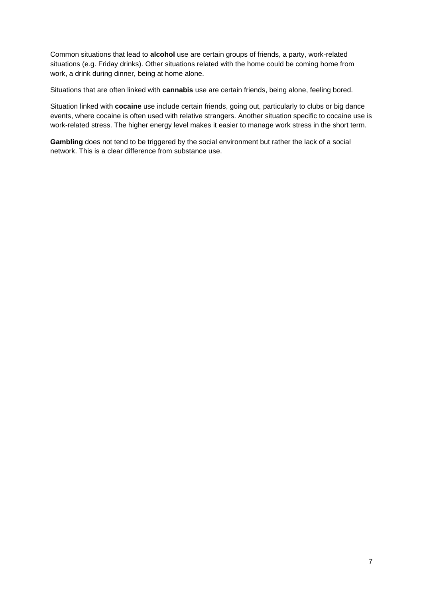Common situations that lead to **alcohol** use are certain groups of friends, a party, work-related situations (e.g. Friday drinks). Other situations related with the home could be coming home from work, a drink during dinner, being at home alone.

Situations that are often linked with **cannabis** use are certain friends, being alone, feeling bored.

Situation linked with **cocaine** use include certain friends, going out, particularly to clubs or big dance events, where cocaine is often used with relative strangers. Another situation specific to cocaine use is work-related stress. The higher energy level makes it easier to manage work stress in the short term.

**Gambling** does not tend to be triggered by the social environment but rather the lack of a social network. This is a clear difference from substance use.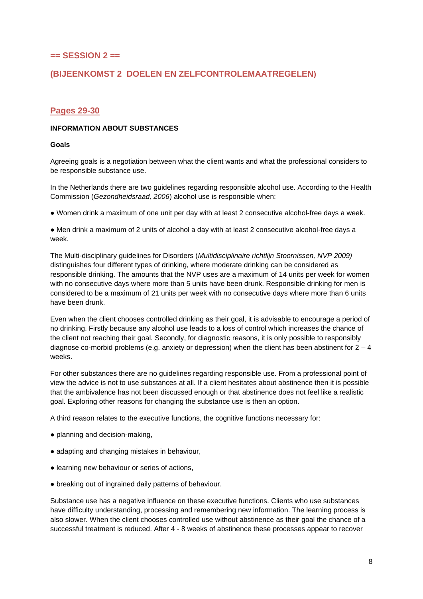## **== SESSION 2 ==**

# **(BIJEENKOMST 2 DOELEN EN ZELFCONTROLEMAATREGELEN)**

## **Pages 29-30**

#### **INFORMATION ABOUT SUBSTANCES**

#### **Goals**

Agreeing goals is a negotiation between what the client wants and what the professional considers to be responsible substance use.

In the Netherlands there are two guidelines regarding responsible alcohol use. According to the Health Commission (*Gezondheidsraad, 2006*) alcohol use is responsible when:

● Women drink a maximum of one unit per day with at least 2 consecutive alcohol-free days a week.

● Men drink a maximum of 2 units of alcohol a day with at least 2 consecutive alcohol-free days a week.

The Multi-disciplinary guidelines for Disorders (*Multidisciplinaire richtlijn Stoornissen, NVP 2009)* distinguishes four different types of drinking, where moderate drinking can be considered as responsible drinking. The amounts that the NVP uses are a maximum of 14 units per week for women with no consecutive days where more than 5 units have been drunk. Responsible drinking for men is considered to be a maximum of 21 units per week with no consecutive days where more than 6 units have been drunk.

Even when the client chooses controlled drinking as their goal, it is advisable to encourage a period of no drinking. Firstly because any alcohol use leads to a loss of control which increases the chance of the client not reaching their goal. Secondly, for diagnostic reasons, it is only possible to responsibly diagnose co-morbid problems (e.g. anxiety or depression) when the client has been abstinent for  $2 - 4$ weeks.

For other substances there are no guidelines regarding responsible use. From a professional point of view the advice is not to use substances at all. If a client hesitates about abstinence then it is possible that the ambivalence has not been discussed enough or that abstinence does not feel like a realistic goal. Exploring other reasons for changing the substance use is then an option.

A third reason relates to the executive functions, the cognitive functions necessary for:

- planning and decision-making,
- adapting and changing mistakes in behaviour,
- learning new behaviour or series of actions,
- breaking out of ingrained daily patterns of behaviour.

Substance use has a negative influence on these executive functions. Clients who use substances have difficulty understanding, processing and remembering new information. The learning process is also slower. When the client chooses controlled use without abstinence as their goal the chance of a successful treatment is reduced. After 4 - 8 weeks of abstinence these processes appear to recover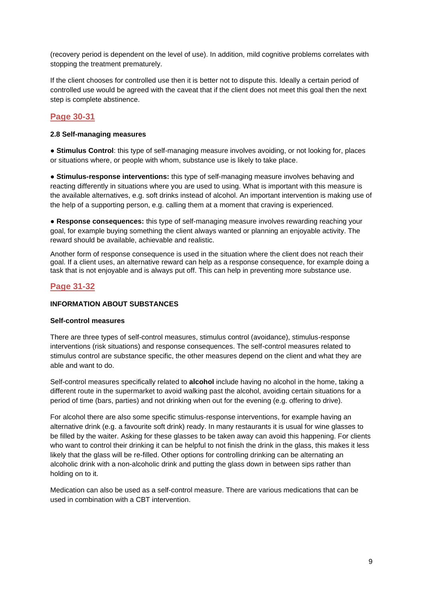(recovery period is dependent on the level of use). In addition, mild cognitive problems correlates with stopping the treatment prematurely.

If the client chooses for controlled use then it is better not to dispute this. Ideally a certain period of controlled use would be agreed with the caveat that if the client does not meet this goal then the next step is complete abstinence.

# **Page 30-31**

#### **2.8 Self-managing measures**

**● Stimulus Control**: this type of self-managing measure involves avoiding, or not looking for, places or situations where, or people with whom, substance use is likely to take place.

**● Stimulus-response interventions:** this type of self-managing measure involves behaving and reacting differently in situations where you are used to using. What is important with this measure is the available alternatives, e.g. soft drinks instead of alcohol. An important intervention is making use of the help of a supporting person, e.g. calling them at a moment that craving is experienced.

**● Response consequences:** this type of self-managing measure involves rewarding reaching your goal, for example buying something the client always wanted or planning an enjoyable activity. The reward should be available, achievable and realistic.

Another form of response consequence is used in the situation where the client does not reach their goal. If a client uses, an alternative reward can help as a response consequence, for example doing a task that is not enjoyable and is always put off. This can help in preventing more substance use.

## **Page 31-32**

#### **INFORMATION ABOUT SUBSTANCES**

#### **Self-control measures**

There are three types of self-control measures, stimulus control (avoidance), stimulus-response interventions (risk situations) and response consequences. The self-control measures related to stimulus control are substance specific, the other measures depend on the client and what they are able and want to do.

Self-control measures specifically related to **alcohol** include having no alcohol in the home, taking a different route in the supermarket to avoid walking past the alcohol, avoiding certain situations for a period of time (bars, parties) and not drinking when out for the evening (e.g. offering to drive).

For alcohol there are also some specific stimulus-response interventions, for example having an alternative drink (e.g. a favourite soft drink) ready. In many restaurants it is usual for wine glasses to be filled by the waiter. Asking for these glasses to be taken away can avoid this happening. For clients who want to control their drinking it can be helpful to not finish the drink in the glass, this makes it less likely that the glass will be re-filled. Other options for controlling drinking can be alternating an alcoholic drink with a non-alcoholic drink and putting the glass down in between sips rather than holding on to it.

Medication can also be used as a self-control measure. There are various medications that can be used in combination with a CBT intervention.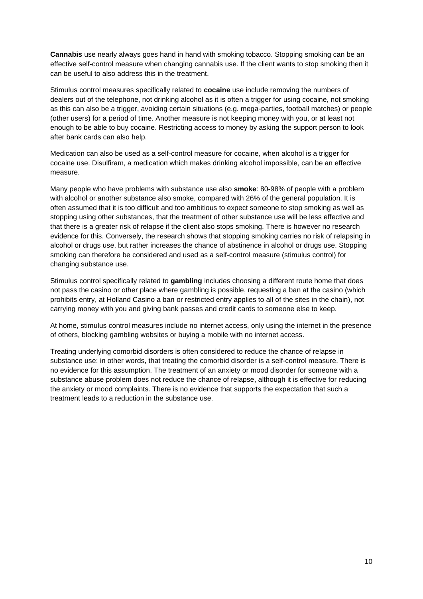**Cannabis** use nearly always goes hand in hand with smoking tobacco. Stopping smoking can be an effective self-control measure when changing cannabis use. If the client wants to stop smoking then it can be useful to also address this in the treatment.

Stimulus control measures specifically related to **cocaine** use include removing the numbers of dealers out of the telephone, not drinking alcohol as it is often a trigger for using cocaine, not smoking as this can also be a trigger, avoiding certain situations (e.g. mega-parties, football matches) or people (other users) for a period of time. Another measure is not keeping money with you, or at least not enough to be able to buy cocaine. Restricting access to money by asking the support person to look after bank cards can also help.

Medication can also be used as a self-control measure for cocaine, when alcohol is a trigger for cocaine use. Disulfiram, a medication which makes drinking alcohol impossible, can be an effective measure.

Many people who have problems with substance use also **smoke**: 80-98% of people with a problem with alcohol or another substance also smoke, compared with 26% of the general population. It is often assumed that it is too difficult and too ambitious to expect someone to stop smoking as well as stopping using other substances, that the treatment of other substance use will be less effective and that there is a greater risk of relapse if the client also stops smoking. There is however no research evidence for this. Conversely, the research shows that stopping smoking carries no risk of relapsing in alcohol or drugs use, but rather increases the chance of abstinence in alcohol or drugs use. Stopping smoking can therefore be considered and used as a self-control measure (stimulus control) for changing substance use.

Stimulus control specifically related to **gambling** includes choosing a different route home that does not pass the casino or other place where gambling is possible, requesting a ban at the casino (which prohibits entry, at Holland Casino a ban or restricted entry applies to all of the sites in the chain), not carrying money with you and giving bank passes and credit cards to someone else to keep.

At home, stimulus control measures include no internet access, only using the internet in the presence of others, blocking gambling websites or buying a mobile with no internet access.

Treating underlying comorbid disorders is often considered to reduce the chance of relapse in substance use: in other words, that treating the comorbid disorder is a self-control measure. There is no evidence for this assumption. The treatment of an anxiety or mood disorder for someone with a substance abuse problem does not reduce the chance of relapse, although it is effective for reducing the anxiety or mood complaints. There is no evidence that supports the expectation that such a treatment leads to a reduction in the substance use.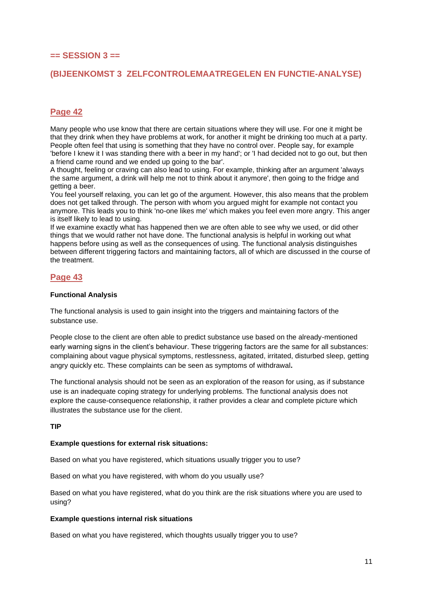## **== SESSION 3 ==**

## **(BIJEENKOMST 3 ZELFCONTROLEMAATREGELEN EN FUNCTIE-ANALYSE)**

# **Page 42**

Many people who use know that there are certain situations where they will use. For one it might be that they drink when they have problems at work, for another it might be drinking too much at a party. People often feel that using is something that they have no control over. People say, for example 'before I knew it I was standing there with a beer in my hand'; or 'I had decided not to go out, but then a friend came round and we ended up going to the bar'.

A thought, feeling or craving can also lead to using. For example, thinking after an argument 'always the same argument, a drink will help me not to think about it anymore', then going to the fridge and getting a beer.

You feel yourself relaxing, you can let go of the argument. However, this also means that the problem does not get talked through. The person with whom you argued might for example not contact you anymore. This leads you to think 'no-one likes me' which makes you feel even more angry. This anger is itself likely to lead to using.

If we examine exactly what has happened then we are often able to see why we used, or did other things that we would rather not have done. The functional analysis is helpful in working out what happens before using as well as the consequences of using. The functional analysis distinguishes between different triggering factors and maintaining factors, all of which are discussed in the course of the treatment.

## **Page 43**

#### **Functional Analysis**

The functional analysis is used to gain insight into the triggers and maintaining factors of the substance use.

People close to the client are often able to predict substance use based on the already-mentioned early warning signs in the client's behaviour. These triggering factors are the same for all substances: complaining about vague physical symptoms, restlessness, agitated, irritated, disturbed sleep, getting angry quickly etc. These complaints can be seen as symptoms of withdrawal**.**

The functional analysis should not be seen as an exploration of the reason for using, as if substance use is an inadequate coping strategy for underlying problems. The functional analysis does not explore the cause-consequence relationship, it rather provides a clear and complete picture which illustrates the substance use for the client.

#### **TIP**

#### **Example questions for external risk situations:**

Based on what you have registered, which situations usually trigger you to use?

Based on what you have registered, with whom do you usually use?

Based on what you have registered, what do you think are the risk situations where you are used to using?

#### **Example questions internal risk situations**

Based on what you have registered, which thoughts usually trigger you to use?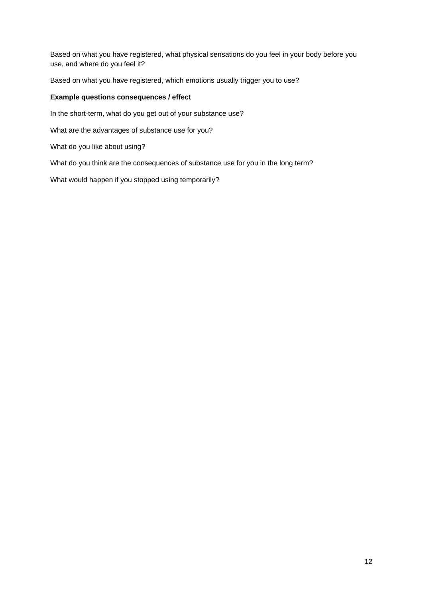Based on what you have registered, what physical sensations do you feel in your body before you use, and where do you feel it?

Based on what you have registered, which emotions usually trigger you to use?

#### **Example questions consequences / effect**

In the short-term, what do you get out of your substance use?

What are the advantages of substance use for you?

What do you like about using?

What do you think are the consequences of substance use for you in the long term?

What would happen if you stopped using temporarily?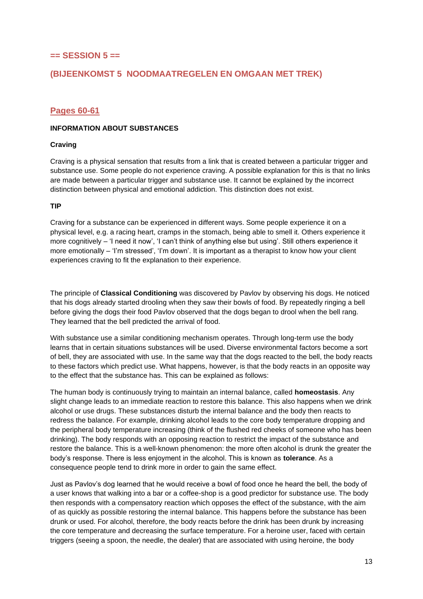## **== SESSION 5 ==**

## **(BIJEENKOMST 5 NOODMAATREGELEN EN OMGAAN MET TREK)**

## **Pages 60-61**

#### **INFORMATION ABOUT SUBSTANCES**

#### **Craving**

Craving is a physical sensation that results from a link that is created between a particular trigger and substance use. Some people do not experience craving. A possible explanation for this is that no links are made between a particular trigger and substance use. It cannot be explained by the incorrect distinction between physical and emotional addiction. This distinction does not exist.

#### **TIP**

Craving for a substance can be experienced in different ways. Some people experience it on a physical level, e.g. a racing heart, cramps in the stomach, being able to smell it. Others experience it more cognitively – 'I need it now', 'I can't think of anything else but using'. Still others experience it more emotionally – 'I'm stressed', 'I'm down'. It is important as a therapist to know how your client experiences craving to fit the explanation to their experience.

The principle of **Classical Conditioning** was discovered by Pavlov by observing his dogs. He noticed that his dogs already started drooling when they saw their bowls of food. By repeatedly ringing a bell before giving the dogs their food Pavlov observed that the dogs began to drool when the bell rang. They learned that the bell predicted the arrival of food.

With substance use a similar conditioning mechanism operates. Through long-term use the body learns that in certain situations substances will be used. Diverse environmental factors become a sort of bell, they are associated with use. In the same way that the dogs reacted to the bell, the body reacts to these factors which predict use. What happens, however, is that the body reacts in an opposite way to the effect that the substance has. This can be explained as follows:

The human body is continuously trying to maintain an internal balance, called **homeostasis**. Any slight change leads to an immediate reaction to restore this balance. This also happens when we drink alcohol or use drugs. These substances disturb the internal balance and the body then reacts to redress the balance. For example, drinking alcohol leads to the core body temperature dropping and the peripheral body temperature increasing (think of the flushed red cheeks of someone who has been drinking). The body responds with an opposing reaction to restrict the impact of the substance and restore the balance. This is a well-known phenomenon: the more often alcohol is drunk the greater the body's response. There is less enjoyment in the alcohol. This is known as **tolerance**. As a consequence people tend to drink more in order to gain the same effect.

Just as Pavlov's dog learned that he would receive a bowl of food once he heard the bell, the body of a user knows that walking into a bar or a coffee-shop is a good predictor for substance use. The body then responds with a compensatory reaction which opposes the effect of the substance, with the aim of as quickly as possible restoring the internal balance. This happens before the substance has been drunk or used. For alcohol, therefore, the body reacts before the drink has been drunk by increasing the core temperature and decreasing the surface temperature. For a heroine user, faced with certain triggers (seeing a spoon, the needle, the dealer) that are associated with using heroine, the body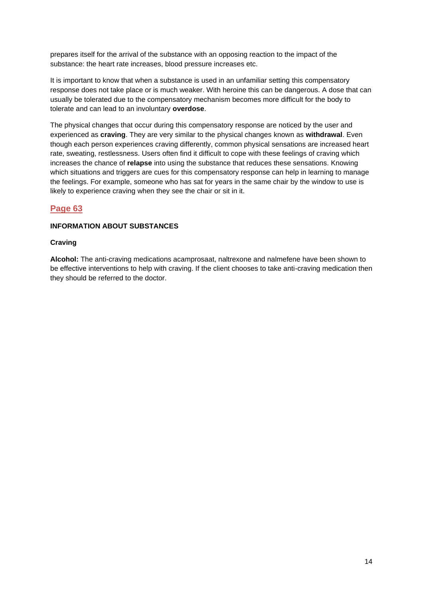prepares itself for the arrival of the substance with an opposing reaction to the impact of the substance: the heart rate increases, blood pressure increases etc.

It is important to know that when a substance is used in an unfamiliar setting this compensatory response does not take place or is much weaker. With heroine this can be dangerous. A dose that can usually be tolerated due to the compensatory mechanism becomes more difficult for the body to tolerate and can lead to an involuntary **overdose**.

The physical changes that occur during this compensatory response are noticed by the user and experienced as **craving**. They are very similar to the physical changes known as **withdrawal**. Even though each person experiences craving differently, common physical sensations are increased heart rate, sweating, restlessness. Users often find it difficult to cope with these feelings of craving which increases the chance of **relapse** into using the substance that reduces these sensations. Knowing which situations and triggers are cues for this compensatory response can help in learning to manage the feelings. For example, someone who has sat for years in the same chair by the window to use is likely to experience craving when they see the chair or sit in it.

## **Page 63**

#### **INFORMATION ABOUT SUBSTANCES**

#### **Craving**

**Alcohol:** The anti-craving medications acamprosaat, naltrexone and nalmefene have been shown to be effective interventions to help with craving. If the client chooses to take anti-craving medication then they should be referred to the doctor.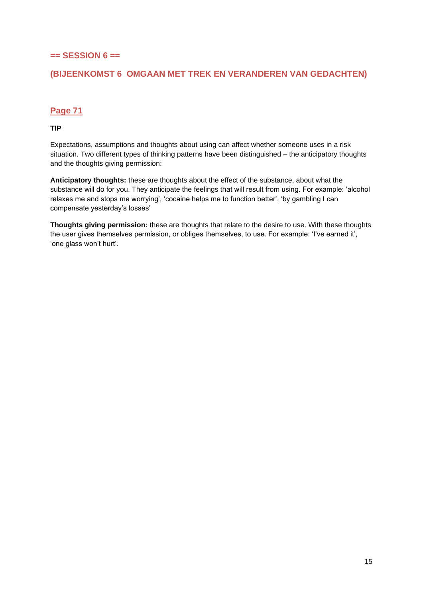# **== SESSION 6 ==**

# **(BIJEENKOMST 6 OMGAAN MET TREK EN VERANDEREN VAN GEDACHTEN)**

# **Page 71**

#### **TIP**

Expectations, assumptions and thoughts about using can affect whether someone uses in a risk situation. Two different types of thinking patterns have been distinguished – the anticipatory thoughts and the thoughts giving permission:

**Anticipatory thoughts:** these are thoughts about the effect of the substance, about what the substance will do for you. They anticipate the feelings that will result from using. For example: 'alcohol relaxes me and stops me worrying', 'cocaine helps me to function better', 'by gambling I can compensate yesterday's losses'

**Thoughts giving permission:** these are thoughts that relate to the desire to use. With these thoughts the user gives themselves permission, or obliges themselves, to use. For example: 'I've earned it', 'one glass won't hurt'.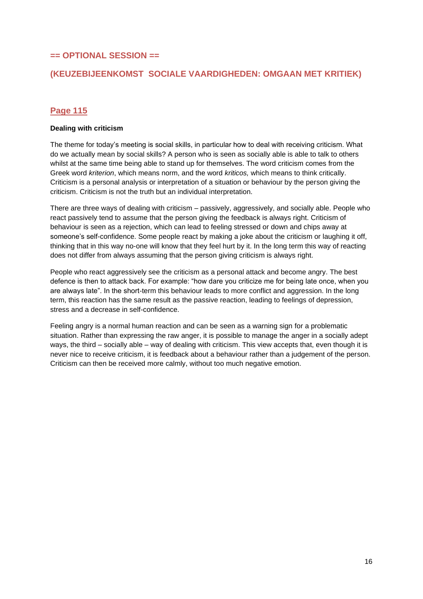## **== OPTIONAL SESSION ==**

# **(KEUZEBIJEENKOMST SOCIALE VAARDIGHEDEN: OMGAAN MET KRITIEK)**

# **Page 115**

## **Dealing with criticism**

The theme for today's meeting is social skills, in particular how to deal with receiving criticism. What do we actually mean by social skills? A person who is seen as socially able is able to talk to others whilst at the same time being able to stand up for themselves. The word criticism comes from the Greek word *kriterion*, which means norm, and the word *kriticos,* which means to think critically. Criticism is a personal analysis or interpretation of a situation or behaviour by the person giving the criticism. Criticism is not the truth but an individual interpretation.

There are three ways of dealing with criticism – passively, aggressively, and socially able. People who react passively tend to assume that the person giving the feedback is always right. Criticism of behaviour is seen as a rejection, which can lead to feeling stressed or down and chips away at someone's self-confidence. Some people react by making a joke about the criticism or laughing it off, thinking that in this way no-one will know that they feel hurt by it. In the long term this way of reacting does not differ from always assuming that the person giving criticism is always right.

People who react aggressively see the criticism as a personal attack and become angry. The best defence is then to attack back. For example: "how dare you criticize me for being late once, when you are always late". In the short-term this behaviour leads to more conflict and aggression. In the long term, this reaction has the same result as the passive reaction, leading to feelings of depression, stress and a decrease in self-confidence.

Feeling angry is a normal human reaction and can be seen as a warning sign for a problematic situation. Rather than expressing the raw anger, it is possible to manage the anger in a socially adept ways, the third – socially able – way of dealing with criticism. This view accepts that, even though it is never nice to receive criticism, it is feedback about a behaviour rather than a judgement of the person. Criticism can then be received more calmly, without too much negative emotion.